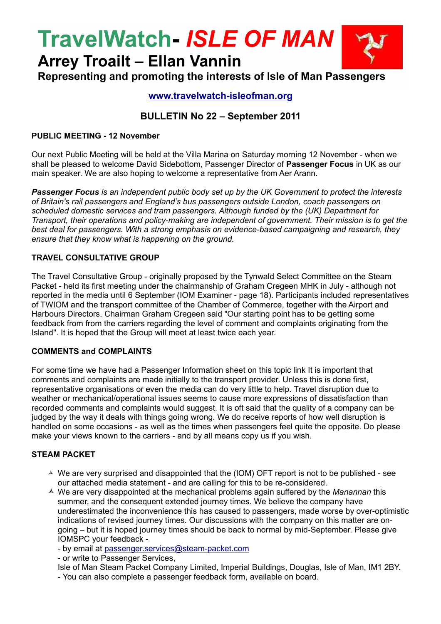# **TravelWatch- ISLE OF MAN**

**Arrey Troailt - Ellan Vannin** Representing and promoting the interests of Isle of Man Passengers

# **[www.travelwatch-isleofman.org](http://www.travelwatch-isleofman.org/)**

# **BULLETIN No 22 – September 2011**

### **PUBLIC MEETING - 12 November**

Our next Public Meeting will be held at the Villa Marina on Saturday morning 12 November - when we shall be pleased to welcome David Sidebottom, Passenger Director of **Passenger Focus** in UK as our main speaker. We are also hoping to welcome a representative from Aer Arann.

*Passenger Focus is an independent public body set up by the UK Government to protect the interests of Britain's rail passengers and England's bus passengers outside London, coach passengers on scheduled domestic services and tram passengers. Although funded by the (UK) Department for Transport, their operations and policy-making are independent of government. Their mission is to get the best deal for passengers. With a strong emphasis on evidence-based campaigning and research, they ensure that they know what is happening on the ground.*

### **TRAVEL CONSULTATIVE GROUP**

The Travel Consultative Group - originally proposed by the Tynwald Select Committee on the Steam Packet - held its first meeting under the chairmanship of Graham Cregeen MHK in July - although not reported in the media until 6 September (IOM Examiner - page 18). Participants included representatives of TWIOM and the transport committee of the Chamber of Commerce, together with the Airport and Harbours Directors. Chairman Graham Cregeen said "Our starting point has to be getting some feedback from from the carriers regarding the level of comment and complaints originating from the Island". It is hoped that the Group will meet at least twice each year.

#### **COMMENTS and COMPLAINTS**

For some time we have had a Passenger Information sheet on this topic link It is important that comments and complaints are made initially to the transport provider. Unless this is done first, representative organisations or even the media can do very little to help. Travel disruption due to weather or mechanical/operational issues seems to cause more expressions of dissatisfaction than recorded comments and complaints would suggest. It is oft said that the quality of a company can be judged by the way it deals with things going wrong. We do receive reports of how well disruption is handled on some occasions - as well as the times when passengers feel quite the opposite. Do please make your views known to the carriers - and by all means copy us if you wish.

# **STEAM PACKET**

- $\triangle$  We are very surprised and disappointed that the (IOM) OFT report is not to be published see our attached media statement - and are calling for this to be re-considered.
- We are very disappointed at the mechanical problems again suffered by the *Manannan* this summer, and the consequent extended journey times. We believe the company have underestimated the inconvenience this has caused to passengers, made worse by over-optimistic indications of revised journey times. Our discussions with the company on this matter are ongoing – but it is hoped journey times should be back to normal by mid-September. Please give IOMSPC your feedback -
	- by email at [passenger.services@steam-packet.com](mailto:passenger.services@steam-packet.com)
	- or write to Passenger Services,
	- Isle of Man Steam Packet Company Limited, Imperial Buildings, Douglas, Isle of Man, IM1 2BY.
	- You can also complete a passenger feedback form, available on board.